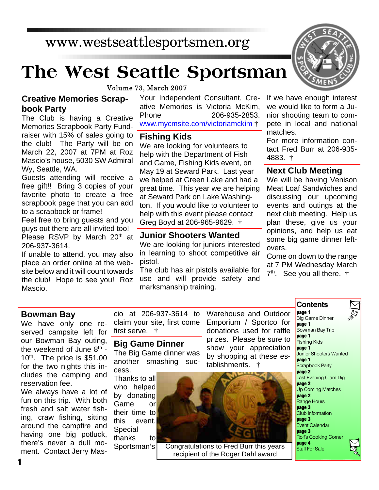# www.westseattlesportsmen.org

# **The West Seattle Sportsman**

Volume 73, March 2007

#### **Creative Memories Scrapbook Party**

The Club is having a Creative Memories Scrapbook Party Fundraiser with 15% of sales going to the club! The Party will be on March 22, 2007 at 7PM at Roz Mascio's house, 5030 SW Admiral Wy, Seattle, WA.

Guests attending will receive a free gift!! Bring 3 copies of your favorite photo to create a free scrapbook page that you can add to a scrapbook or frame!

Feel free to bring guests and you guys out there are all invited too! Please RSVP by March 20<sup>th</sup> at 206-937-3614.

If unable to attend, you may also place an order online at the website below and it will count towards the club! Hope to see you! Roz Mascio.

Your Independent Consultant, Creative Memories is Victoria McKim, Phone 206-935-2853. www.mycmsite.com/victoriamckim †

#### **Fishing Kids**

We are looking for volunteers to help with the Department of Fish and Game, Fishing Kids event, on May 19 at Seward Park. Last year we helped at Green Lake and had a great time. This year we are helping at Seward Park on Lake Washington. If you would like to volunteer to help with this event please contact Greg Boyd at 206-965-9629. †

#### **Junior Shooters Wanted**

We are looking for juniors interested in learning to shoot competitive air pistol.

The club has air pistols available for use and will provide safety and marksmanship training.



For more information contact Fred Burr at 206-935- 4883. †

#### **Next Club Meeting**

We will be having Venison Meat Loaf Sandwiches and discussing our upcoming events and outings at the next club meeting. Help us plan these, give us your opinions, and help us eat some big game dinner leftovers.

Come on down to the range at 7 PM Wednesday March 7 th . See you all there. †

**Contents**

#### **Bowman Bay**

We have only one reserved campsite left for our Bowman Bay outing, the weekend of June 8th -  $10<sup>th</sup>$ . The price is \$51.00 for the two nights this includes the camping and reservation fee. We always have a lot of

fun on this trip. With both fresh and salt water fishing, craw fishing, sitting around the campfire and having one big potluck, there's never a dull moment. Contact Jerry Mascio at 206-937-3614 to claim your site, first come first serve. †

# **Big Game Dinner**

The Big Game dinner was another smashing success.

Thanks to all who helped by donating Game or their time to this event. Special thanks to Sportsman's Warehouse and Outdoor Emporium / Sportco for donations used for raffle prizes. Please be sure to show your appreciation by shopping at these establishments. †



**Congratulations to Fred Burr this years Stuff For Sale** recipient of the Roger Dahl award

**page 1** Big Game Dinner **page 1** Bowman Bay Trip **page 1** Fishing Kids **page 1** Junior Shooters Wanted **page 1** Scrapbook Party **page 2** Last Evening Clam Dig **page 2** Up Coming Matches **page 2** Range Hours **page 3** Club Information **page 3** Event Calendar **page 3** Rolf's Cooking Corner



**1**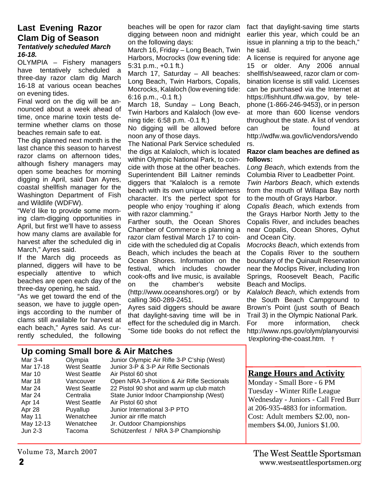#### **Last Evening Razor Clam Dig of Season** *Tentatively scheduled March 16-18.*

OLYMPIA – Fishery managers have tentatively scheduled a three-day razor clam dig March 16-18 at various ocean beaches on evening tides.

Final word on the dig will be announced about a week ahead of time, once marine toxin tests determine whether clams on those beaches remain safe to eat.

The dig planned next month is the last chance this season to harvest razor clams on afternoon tides, although fishery managers may open some beaches for morning digging in April, said Dan Ayres, coastal shellfish manager for the Washington Department of Fish and Wildlife (WDFW).

"We'd like to provide some morning clam-digging opportunities in April, but first we'll have to assess how many clams are available for harvest after the scheduled dig in March," Ayres said.

If the March dig proceeds as planned, diggers will have to be especially attentive to which beaches are open each day of the three-day opening, he said.

"As we get toward the end of the season, we have to juggle openings according to the number of clams still available for harvest at each beach," Ayres said. As currently scheduled, the following

beaches will be open for razor clam digging between noon and midnight on the following days:

March 16, Friday – Long Beach, Twin Harbors, Mocrocks (low evening tide: 5:31 p.m., +0.1 ft.)

March 17, Saturday – All beaches: Long Beach, Twin Harbors, Copalis, Mocrocks, Kalaloch (low evening tide: 6:16 p.m., -0.1 ft.)

March 18, Sunday – Long Beach, Twin Harbors and Kalaloch (low evening tide: 6:58 p.m. -0.1 ft.)

No digging will be allowed before noon any of those days.

The National Park Service scheduled the digs at Kalaloch, which is located within Olympic National Park, to coincide with those at the other beaches. Superintendent Bill Laitner reminds diggers that "Kalaloch is a remote beach with its own unique wilderness character. It's the perfect spot for people who enjoy 'roughing it' along with razor clamming."

Farther south, the Ocean Shores Chamber of Commerce is planning a razor clam festival March 17 to coincide with the scheduled dig at Copalis Beach, which includes the beach at Ocean Shores. Information on the festival, which includes chowder cook-offs and live music, is available on the chamber's website (http://www.oceanshores.org/) or by calling 360-289-2451.

Ayres said diggers should be aware that daylight-saving time will be in effect for the scheduled dig in March. "Some tide books do not reflect the

fact that daylight-saving time starts earlier this year, which could be an issue in planning a trip to the beach," he said.

A license is required for anyone age 15 or older. Any 2006 annual shellfish/seaweed, razor clam or combination license is still valid. Licenses can be purchased via the Internet at https://fishhunt.dfw.wa.gov, by telephone (1-866-246-9453), or in person at more than 600 license vendors throughout the state. A list of vendors can be found at http://wdfw.wa.gov/lic/vendors/vendo rs.

#### **Razor clam beaches are defined as follows:**

*Long Beach*, which extends from the Columbia River to Leadbetter Point.

*Twin Harbors Beach*, which extends from the mouth of Willapa Bay north to the mouth of Grays Harbor.

*Copalis Beach*, which extends from the Grays Harbor North Jetty to the Copalis River, and includes beaches near Copalis, Ocean Shores, Oyhut and Ocean City.

*Mocrocks Beach*, which extends from the Copalis River to the southern boundary of the Quinault Reservation near the Moclips River, including Iron Springs, Roosevelt Beach, Pacific Beach and Moclips.

*Kalaloch Beach*, which extends from the South Beach Campground to Brown's Point (just south of Beach Trail 3) in the Olympic National Park. For more information, check http://www.nps.gov/olym/planyourvisi t/exploring-the-coast.htm. †

# **Up coming Small bore & Air Matches**

| Mar 3-4   | Olympia             | Junior Olympic Air Rifle 3-P C'ship (West) |
|-----------|---------------------|--------------------------------------------|
| Mar 17-18 | <b>West Seattle</b> | Junior 3-P & 3-P Air Rifle Sectionals      |
| Mar 10    | West Seattle        | Air Pistol 60 shot                         |
| Mar 18    | Vancouver           | Open NRA 3-Position & Air Rifle Sectionals |
| Mar 24    | West Seattle        | 22 Pistol 90 shot and warm up club match   |
| Mar 24    | Centralia           | State Junior Indoor Championship (West)    |
| Apr 14    | West Seattle        | Air Pistol 60 shot                         |
| Apr 28    | Puyallup            | Junior International 3-P PTO               |
| May 11    | Wenatchee           | Junior air rifle match                     |
| May 12-13 | Wenatchee           | Jr. Outdoor Championships                  |
| Jun 2-3   | Tacoma              | Schützenfest / NRA 3-P Championship        |
|           |                     |                                            |

#### **Range Hours and Activity**

Monday - Small Bore - 6 PM Tuesday - Winter Rifle League Wednesday - Juniors - Call Fred Burr at 206-935-4883 for information. Cost: Adult members \$2.00, nonmembers \$4.00, Juniors \$1.00.

Volume 73, March 2007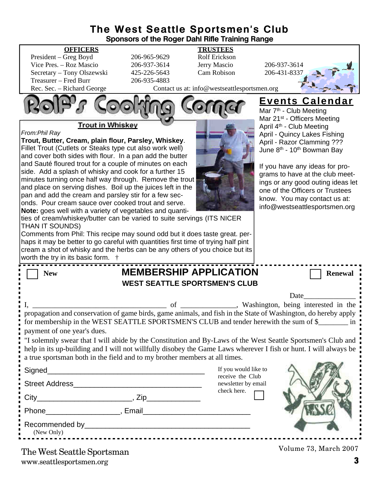#### **The West Seattle Sportsmen's Club Sponsors of the Roger Dahl Rifle Training Range**

| <b>OFFICERS</b>                                                                                                                                                   |                                                                                           | <b>TRUSTEES</b>                              |                                                                                                         |  |  |  |
|-------------------------------------------------------------------------------------------------------------------------------------------------------------------|-------------------------------------------------------------------------------------------|----------------------------------------------|---------------------------------------------------------------------------------------------------------|--|--|--|
| President - Greg Boyd                                                                                                                                             | 206-965-9629                                                                              | Rolf Erickson                                |                                                                                                         |  |  |  |
| Vice Pres. - Roz Mascio                                                                                                                                           | 206-937-3614                                                                              | Jerry Mascio                                 | 206-937-3614                                                                                            |  |  |  |
| Secretary - Tony Olszewski<br>Treasurer - Fred Burr                                                                                                               | 425-226-5643<br>206-935-4883                                                              | Cam Robison                                  | 206-431-8337                                                                                            |  |  |  |
| Rec. Sec. - Richard George                                                                                                                                        |                                                                                           | Contact us at: info@westseattlesportsmen.org |                                                                                                         |  |  |  |
|                                                                                                                                                                   |                                                                                           |                                              | <b>Events Calendar</b><br>Mar 7 <sup>th</sup> - Club Meeting<br>Mar 21 <sup>st</sup> - Officers Meeting |  |  |  |
| <b>Trout in Whiskey</b>                                                                                                                                           |                                                                                           |                                              | April 4 <sup>th</sup> - Club Meeting                                                                    |  |  |  |
| From: Phil Ray                                                                                                                                                    |                                                                                           |                                              | April - Quincy Lakes Fishing                                                                            |  |  |  |
| Trout, Butter, Cream, plain flour, Parsley, Whiskey.                                                                                                              |                                                                                           |                                              | April - Razor Clamming ???                                                                              |  |  |  |
| Fillet Trout (Cutlets or Steaks type cut also work well)                                                                                                          |                                                                                           |                                              | June 8 <sup>th</sup> - 10 <sup>th</sup> Bowman Bay                                                      |  |  |  |
| and cover both sides with flour. In a pan add the butter                                                                                                          |                                                                                           |                                              |                                                                                                         |  |  |  |
| and Sauté floured trout for a couple of minutes on each                                                                                                           |                                                                                           |                                              | If you have any ideas for pro-                                                                          |  |  |  |
| side. Add a splash of whisky and cook for a further 15<br>minutes turning once half way through. Remove the trout                                                 | grams to have at the club meet-                                                           |                                              |                                                                                                         |  |  |  |
| and place on serving dishes. Boil up the juices left in the                                                                                                       |                                                                                           |                                              | ings or any good outing ideas let                                                                       |  |  |  |
| pan and add the cream and parsley stir for a few sec-                                                                                                             | one of the Officers or Trustees                                                           |                                              |                                                                                                         |  |  |  |
| onds. Pour cream sauce over cooked trout and serve.                                                                                                               |                                                                                           |                                              | know. You may contact us at:                                                                            |  |  |  |
|                                                                                                                                                                   | info@westseattlesportsmen.org<br>Note: goes well with a variety of vegetables and quanti- |                                              |                                                                                                         |  |  |  |
| ties of cream/whiskey/butter can be varied to suite servings (ITS NICER                                                                                           |                                                                                           |                                              |                                                                                                         |  |  |  |
| THAN IT SOUNDS)                                                                                                                                                   |                                                                                           |                                              |                                                                                                         |  |  |  |
| Comments from Phil: This recipe may sound odd but it does taste great. per-<br>haps it may be better to go careful with quantities first time of trying half pint |                                                                                           |                                              |                                                                                                         |  |  |  |
| cream a shot of whisky and the herbs can be any others of you choice but its                                                                                      |                                                                                           |                                              |                                                                                                         |  |  |  |
| worth the try in its basic form.                                                                                                                                  |                                                                                           |                                              |                                                                                                         |  |  |  |
|                                                                                                                                                                   |                                                                                           |                                              |                                                                                                         |  |  |  |
| <b>MEMBERSHIP APPLICATION</b><br><b>New</b><br><b>Renewal</b>                                                                                                     |                                                                                           |                                              |                                                                                                         |  |  |  |
| <b>WEST SEATTLE SPORTSMEN'S CLUB</b>                                                                                                                              |                                                                                           |                                              |                                                                                                         |  |  |  |
| Date                                                                                                                                                              |                                                                                           |                                              |                                                                                                         |  |  |  |
|                                                                                                                                                                   | of                                                                                        |                                              | Washington, being interested in the                                                                     |  |  |  |
| propagation and conservation of game birds, game animals, and fish in the State of Washington, do hereby apply                                                    |                                                                                           |                                              |                                                                                                         |  |  |  |
| for membership in the WEST SEATTLE SPORTSMEN'S CLUB and tender herewith the sum of \$                                                                             |                                                                                           |                                              |                                                                                                         |  |  |  |
| payment of one year's dues.                                                                                                                                       |                                                                                           |                                              |                                                                                                         |  |  |  |
| "I solemnly swear that I will abide by the Constitution and By-Laws of the West Seattle Sportsmen's Club and                                                      |                                                                                           |                                              |                                                                                                         |  |  |  |
| help in its up-building and I will not willfully disobey the Game Laws wherever I fish or hunt. I will always be                                                  |                                                                                           |                                              |                                                                                                         |  |  |  |
| a true sportsman both in the field and to my brother members at all times.                                                                                        |                                                                                           |                                              |                                                                                                         |  |  |  |
|                                                                                                                                                                   |                                                                                           | If you would like to                         |                                                                                                         |  |  |  |
| Signed                                                                                                                                                            | receive the Club                                                                          |                                              |                                                                                                         |  |  |  |
|                                                                                                                                                                   | newsletter by email                                                                       |                                              |                                                                                                         |  |  |  |
|                                                                                                                                                                   |                                                                                           |                                              |                                                                                                         |  |  |  |
|                                                                                                                                                                   |                                                                                           |                                              |                                                                                                         |  |  |  |
|                                                                                                                                                                   |                                                                                           |                                              |                                                                                                         |  |  |  |
|                                                                                                                                                                   |                                                                                           |                                              |                                                                                                         |  |  |  |
|                                                                                                                                                                   |                                                                                           |                                              |                                                                                                         |  |  |  |
|                                                                                                                                                                   |                                                                                           |                                              |                                                                                                         |  |  |  |
| (New Only)                                                                                                                                                        |                                                                                           |                                              |                                                                                                         |  |  |  |
| The West Seattle Sportsman                                                                                                                                        |                                                                                           |                                              | Volume 73, March 2007                                                                                   |  |  |  |